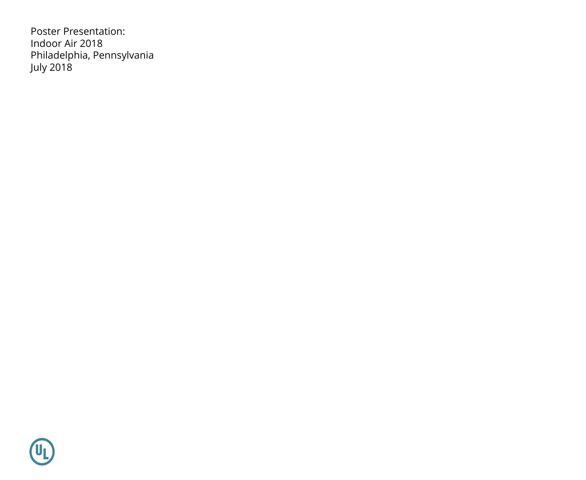Poster Presentation: Indoor Air 2018 Philadelphia, Pennsylvania July 2018